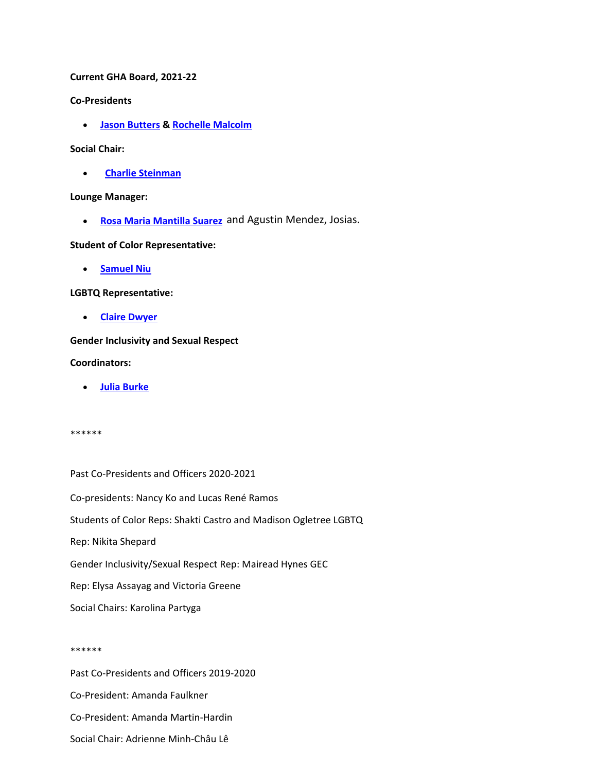**Current GHA Board, 2021-22**

**Co-Presidents**

• **[Jason Butters &](https://history.columbia.edu/person/jason-butters/) [Rochelle Malcolm](https://history.columbia.edu/person/malcom-rochelle/)**

#### **Social Chair:**

• **[Charlie Steinman](https://history.columbia.edu/person/steinman-charles/)**

## **Lounge Manager:**

• **[Rosa Maria Mantilla Suare](https://history.columbia.edu/person/mantilla-rosa/)z** and Agustin Mendez, Josias.

# **Student of Color Representative:**

• **[Samuel Niu](https://history.columbia.edu/person/niu-samuel/)**

## **LGBTQ Representative:**

• **[Claire Dwyer](https://history.columbia.edu/person/dwyer-claire/)** 

# **Gender Inclusivity and Sexual Respect**

## **Coordinators:**

• **[Julia Burke](https://history.columbia.edu/person/burke-julia/)**

#### \*\*\*\*\*\*

Past Co-Presidents and Officers 2020-2021 Co-presidents: Nancy Ko and Lucas René Ramos Students of Color Reps: Shakti Castro and Madison Ogletree LGBTQ Rep: Nikita Shepard Gender Inclusivity/Sexual Respect Rep: Mairead Hynes GEC Rep: Elysa Assayag and Victoria Greene

Social Chairs: Karolina Partyga

#### \*\*\*\*\*\*

Past Co-Presidents and Officers 2019-2020 Co-President: Amanda Faulkner Co-President: Amanda Martin-Hardin Social Chair: Adrienne Minh-Châu Lê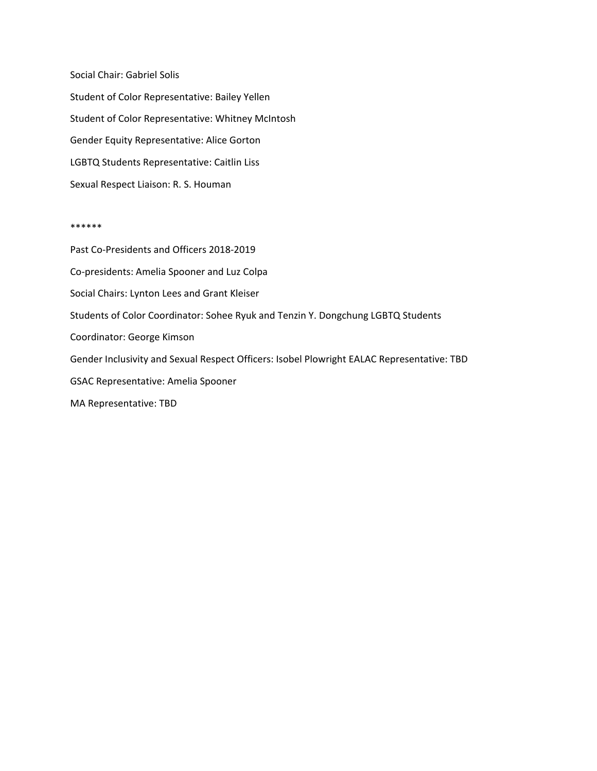Social Chair: Gabriel Solis Student of Color Representative: Bailey Yellen Student of Color Representative: Whitney McIntosh Gender Equity Representative: Alice Gorton LGBTQ Students Representative: Caitlin Liss Sexual Respect Liaison: R. S. Houman

#### \*\*\*\*\*\*

Past Co-Presidents and Officers 2018-2019 Co-presidents: Amelia Spooner and Luz Colpa Social Chairs: Lynton Lees and Grant Kleiser Students of Color Coordinator: Sohee Ryuk and Tenzin Y. Dongchung LGBTQ Students Coordinator: George Kimson Gender Inclusivity and Sexual Respect Officers: Isobel Plowright EALAC Representative: TBD GSAC Representative: Amelia Spooner MA Representative: TBD